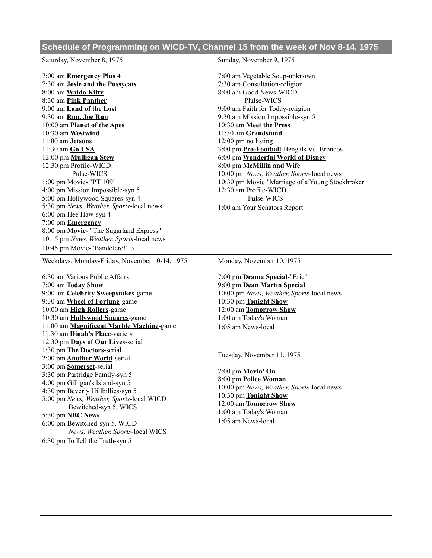## **Schedule of Programming on WICD-TV, Channel 15 from the week of Nov 8-14, 1975**

| Saturday, November 8, 1975                    | Sunday, November 9, 1975                                    |
|-----------------------------------------------|-------------------------------------------------------------|
| 7:00 am <b>Emergency Plus 4</b>               | 7:00 am Vegetable Soup-unknown                              |
| 7:30 am Josie and the Pussycats               | 7:30 am Consultation-religion                               |
| 8:00 am Waldo Kitty                           | 8:00 am Good News-WICD                                      |
| 8:30 am Pink Panther                          | Plulse-WICS                                                 |
| 9:00 am Land of the Lost                      | 9:00 am Faith for Today-religion                            |
| 9:30 am Run, Joe Run                          | 9:30 am Mission Impossible-syn 5                            |
| 10:00 am Planet of the Apes                   | 10:30 am Meet the Press                                     |
| 10:30 am Westwind                             | 11:30 am Grandstand                                         |
| 11:00 am <b>Jetsons</b>                       | $12:00$ pm no listing                                       |
| 11:30 am Go USA                               | 3:00 pm Pro-Football-Bengals Vs. Broncos                    |
| 12:00 pm Mulligan Stew                        | 6:00 pm Wonderful World of Disney                           |
| 12:30 pm Profile-WICD                         | 8:00 pm McMillin and Wife                                   |
| Pulse-WICS                                    | 10:00 pm News, Weather, Sports-local news                   |
| 1:00 pm Movie- "PT 109"                       | 10:30 pm Movie "Marriage of a Young Stockbroker"            |
| 4:00 pm Mission Impossible-syn 5              | 12:30 am Profile-WICD                                       |
| 5:00 pm Hollywood Squares-syn 4               | Pulse-WICS                                                  |
| 5:30 pm News, Weather, Sports-local news      | 1:00 am Your Senators Report                                |
| 6:00 pm Hee Haw-syn 4                         |                                                             |
| 7:00 pm <b>Emergency</b>                      |                                                             |
| 8:00 pm Movie- "The Sugarland Express"        |                                                             |
| 10:15 pm News, Weather, Sports-local news     |                                                             |
| 10:45 pm Movie-"Bandolero!" 3                 |                                                             |
| Weekdays, Monday-Friday, November 10-14, 1975 | Monday, November 10, 1975                                   |
| 6:30 am Various Public Affairs                |                                                             |
| 7:00 am Today Show                            | 7:00 pm Drama Special-"Eric"<br>9:00 pm Dean Martin Special |
| 9:00 am <b>Celebrity Sweepstakes</b> -game    | 10:00 pm News, Weather, Sports-local news                   |
| 9:30 am Wheel of Fortune-game                 | 10:30 pm Tonight Show                                       |
| 10:00 am High Rollers-game                    | 12:00 am Tomorrow Show                                      |
| 10:30 am Hollywood Squares-game               | 1:00 am Today's Woman                                       |
| 11:00 am Magnificent Marble Machine-game      | 1:05 am News-local                                          |
| 11:30 am_Dinah's Place-variety                |                                                             |
| 12:30 pm Days of Our Lives-serial             |                                                             |
| 1:30 pm The Doctors-serial                    |                                                             |
| 2:00 pm <b>Another World</b> -serial          | Tuesday, November 11, 1975                                  |
| 3:00 pm Somerset-serial                       |                                                             |
| 3:30 pm Partridge Family-syn 5                | 7:00 pm Movin' On                                           |
| 4:00 pm Gilligan's Island-syn 5               | 8:00 pm Police Woman                                        |
| 4:30 pm Beverly Hillbillies-syn 5             | 10:00 pm News, Weather, Sports-local news                   |
| 5:00 pm News, Weather, Sports-local WICD      | 10:30 pm Tonight Show                                       |
| Bewitched-syn 5, WICS                         | 12:00 am Tomorrow Show                                      |
| 5:30 pm <b>NBC News</b>                       | 1:00 am Today's Woman                                       |
| 6:00 pm Bewitched-syn 5, WICD                 | 1:05 am News-local                                          |
| News, Weather, Sports-local WICS              |                                                             |
| 6:30 pm To Tell the Truth-syn 5               |                                                             |
|                                               |                                                             |
|                                               |                                                             |
|                                               |                                                             |
|                                               |                                                             |
|                                               |                                                             |
|                                               |                                                             |
|                                               |                                                             |
|                                               |                                                             |
|                                               |                                                             |